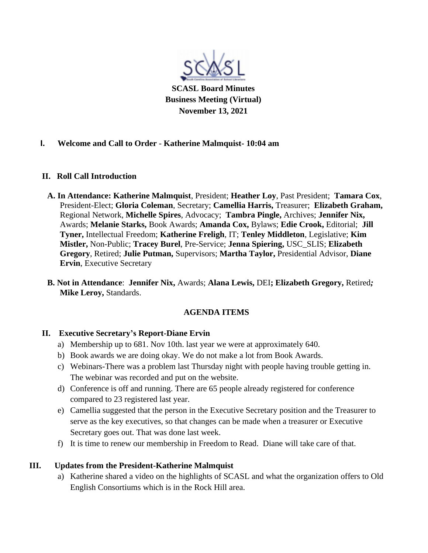

**SCASL Board Minutes Business Meeting (Virtual) November 13, 2021**

### **I. Welcome and Call to Order** - **Katherine Malmquist- 10:04 am**

### **II. Roll Call Introduction**

- **A. In Attendance: Katherine Malmquist**, President; **Heather Loy**, Past President; **Tamara Cox**, President-Elect; **Gloria Coleman**, Secretary; **Camellia Harris,** Treasurer; **Elizabeth Graham,** Regional Network, **Michelle Spires**, Advocacy; **Tambra Pingle,** Archives; **Jennifer Nix,** Awards; **Melanie Starks,** Book Awards; **Amanda Cox,** Bylaws; **Edie Crook,** Editorial; **Jill Tyner,** Intellectual Freedom; **Katherine Freligh**, IT; **Tenley Middleton**, Legislative; **Kim Mistler,** Non-Public; **Tracey Burel**, Pre-Service; **Jenna Spiering,** USC\_SLIS; **Elizabeth Gregory**, Retired; **Julie Putman,** Supervisors; **Martha Taylor,** Presidential Advisor, **Diane Ervin**, Executive Secretary
- **B. Not in Attendance**: **Jennifer Nix,** Awards; **Alana Lewis,** DEI**; Elizabeth Gregory,** Retired*;* **Mike Leroy,** Standards.

### **AGENDA ITEMS**

### **II. Executive Secretary's Report-Diane Ervin**

- a) Membership up to 681. Nov 10th. last year we were at approximately 640.
- b) Book awards we are doing okay. We do not make a lot from Book Awards.
- c) Webinars-There was a problem last Thursday night with people having trouble getting in. The webinar was recorded and put on the website.
- d) Conference is off and running. There are 65 people already registered for conference compared to 23 registered last year.
- e) Camellia suggested that the person in the Executive Secretary position and the Treasurer to serve as the key executives, so that changes can be made when a treasurer or Executive Secretary goes out. That was done last week.
- f) It is time to renew our membership in Freedom to Read. Diane will take care of that.

### **III. Updates from the President-Katherine Malmquist**

a) Katherine shared a video on the highlights of SCASL and what the organization offers to Old English Consortiums which is in the Rock Hill area.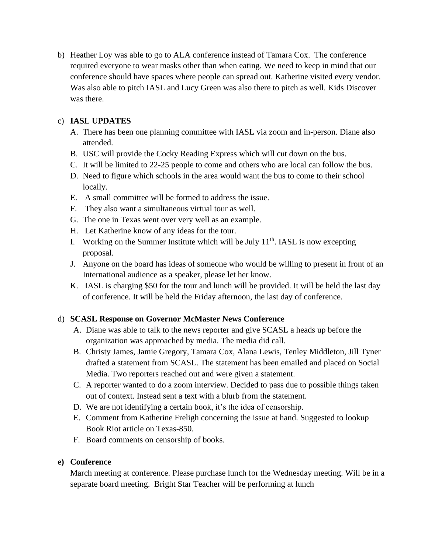b) Heather Loy was able to go to ALA conference instead of Tamara Cox. The conference required everyone to wear masks other than when eating. We need to keep in mind that our conference should have spaces where people can spread out. Katherine visited every vendor. Was also able to pitch IASL and Lucy Green was also there to pitch as well. Kids Discover was there.

## c) **IASL UPDATES**

- A. There has been one planning committee with IASL via zoom and in-person. Diane also attended.
- B. USC will provide the Cocky Reading Express which will cut down on the bus.
- C. It will be limited to 22-25 people to come and others who are local can follow the bus.
- D. Need to figure which schools in the area would want the bus to come to their school locally.
- E. A small committee will be formed to address the issue.
- F. They also want a simultaneous virtual tour as well.
- G. The one in Texas went over very well as an example.
- H. Let Katherine know of any ideas for the tour.
- I. Working on the Summer Institute which will be July  $11<sup>th</sup>$ . IASL is now excepting proposal.
- J. Anyone on the board has ideas of someone who would be willing to present in front of an International audience as a speaker, please let her know.
- K. IASL is charging \$50 for the tour and lunch will be provided. It will be held the last day of conference. It will be held the Friday afternoon, the last day of conference.

# d) **SCASL Response on Governor McMaster News Conference**

- A. Diane was able to talk to the news reporter and give SCASL a heads up before the organization was approached by media. The media did call.
- B. Christy James, Jamie Gregory, Tamara Cox, Alana Lewis, Tenley Middleton, Jill Tyner drafted a statement from SCASL. The statement has been emailed and placed on Social Media. Two reporters reached out and were given a statement.
- C. A reporter wanted to do a zoom interview. Decided to pass due to possible things taken out of context. Instead sent a text with a blurb from the statement.
- D. We are not identifying a certain book, it's the idea of censorship.
- E. Comment from Katherine Freligh concerning the issue at hand. Suggested to lookup Book Riot article on Texas-850.
- F. Board comments on censorship of books.

### **e) Conference**

March meeting at conference. Please purchase lunch for the Wednesday meeting. Will be in a separate board meeting. Bright Star Teacher will be performing at lunch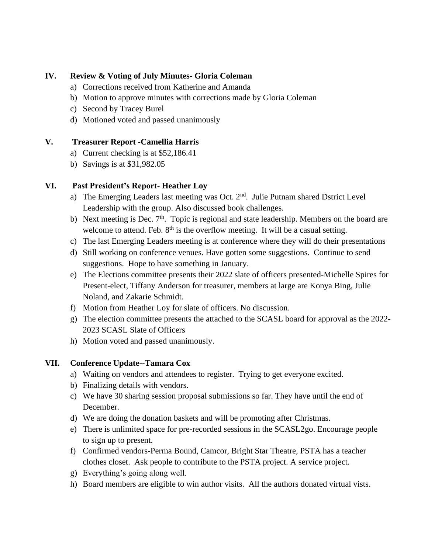### **IV. Review & Voting of July Minutes- Gloria Coleman**

- a) Corrections received from Katherine and Amanda
- b) Motion to approve minutes with corrections made by Gloria Coleman
- c) Second by Tracey Burel
- d) Motioned voted and passed unanimously

### **V. Treasurer Report -Camellia Harris**

- a) Current checking is at \$52,186.41
- b) Savings is at \$31,982.05

### **VI. Past President's Report- Heather Loy**

- a) The Emerging Leaders last meeting was Oct.  $2<sup>nd</sup>$ . Julie Putnam shared Dstrict Level Leadership with the group. Also discussed book challenges.
- b) Next meeting is Dec.  $7<sup>th</sup>$ . Topic is regional and state leadership. Members on the board are welcome to attend. Feb.  $8<sup>th</sup>$  is the overflow meeting. It will be a casual setting.
- c) The last Emerging Leaders meeting is at conference where they will do their presentations
- d) Still working on conference venues. Have gotten some suggestions. Continue to send suggestions. Hope to have something in January.
- e) The Elections committee presents their 2022 slate of officers presented-Michelle Spires for Present-elect, Tiffany Anderson for treasurer, members at large are Konya Bing, Julie Noland, and Zakarie Schmidt.
- f) Motion from Heather Loy for slate of officers. No discussion.
- g) The election committee presents the attached to the SCASL board for approval as the 2022- 2023 SCASL Slate of Officers
- h) Motion voted and passed unanimously.

# **VII. Conference Update--Tamara Cox**

- a) Waiting on vendors and attendees to register. Trying to get everyone excited.
- b) Finalizing details with vendors.
- c) We have 30 sharing session proposal submissions so far. They have until the end of December.
- d) We are doing the donation baskets and will be promoting after Christmas.
- e) There is unlimited space for pre-recorded sessions in the SCASL2go. Encourage people to sign up to present.
- f) Confirmed vendors-Perma Bound, Camcor, Bright Star Theatre, PSTA has a teacher clothes closet. Ask people to contribute to the PSTA project. A service project.
- g) Everything's going along well.
- h) Board members are eligible to win author visits. All the authors donated virtual vists.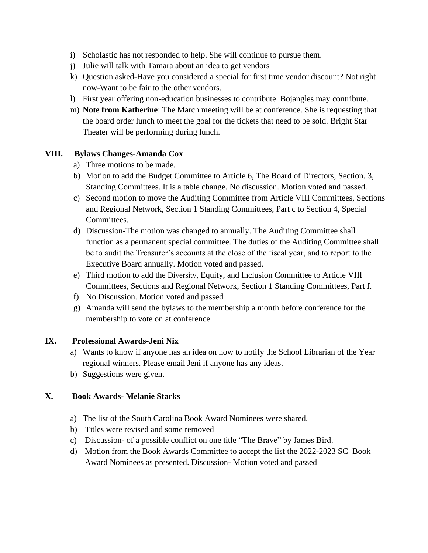- i) Scholastic has not responded to help. She will continue to pursue them.
- j) Julie will talk with Tamara about an idea to get vendors
- k) Question asked-Have you considered a special for first time vendor discount? Not right now-Want to be fair to the other vendors.
- l) First year offering non-education businesses to contribute. Bojangles may contribute.
- m) **Note from Katherine**: The March meeting will be at conference. She is requesting that the board order lunch to meet the goal for the tickets that need to be sold. Bright Star Theater will be performing during lunch.

### **VIII. Bylaws Changes-Amanda Cox**

- a) Three motions to be made.
- b) Motion to add the Budget Committee to Article 6, The Board of Directors, Section. 3, Standing Committees. It is a table change. No discussion. Motion voted and passed.
- c) Second motion to move the Auditing Committee from Article VIII Committees, Sections and Regional Network, Section 1 Standing Committees, Part c to Section 4, Special Committees.
- d) Discussion-The motion was changed to annually. The Auditing Committee shall function as a permanent special committee. The duties of the Auditing Committee shall be to audit the Treasurer's accounts at the close of the fiscal year, and to report to the Executive Board annually. Motion voted and passed.
- e) Third motion to add the Diversity, Equity, and Inclusion Committee to Article VIII Committees, Sections and Regional Network, Section 1 Standing Committees, Part f.
- f) No Discussion. Motion voted and passed
- g) Amanda will send the bylaws to the membership a month before conference for the membership to vote on at conference.

### **IX. Professional Awards-Jeni Nix**

- a) Wants to know if anyone has an idea on how to notify the School Librarian of the Year regional winners. Please email Jeni if anyone has any ideas.
- b) Suggestions were given.

### **X. Book Awards- Melanie Starks**

- a) The list of the South Carolina Book Award Nominees were shared.
- b) Titles were revised and some removed
- c) Discussion- of a possible conflict on one title "The Brave" by James Bird.
- d) Motion from the Book Awards Committee to accept the list the 2022-2023 SC Book Award Nominees as presented. Discussion- Motion voted and passed